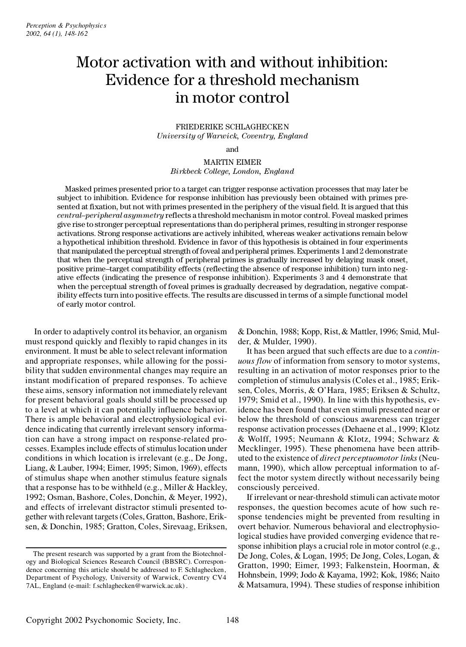# Motor activation with and without inhibition: Evidence for a threshold mechanism in motor control

FRIEDERIKE SCHLAGHECKEN *University of Warwick, Coventry, England*

and

## MARTIN EIMER *Birkbeck College, London, England*

Masked primes presented prior to a target can trigger response activation processes that may later be subject to inhibition. Evidence for response inhibition has previously been obtained with primes pre sented at fixation, but not with primes presented in the periphery of the visual field. It is argued that this *central–peripheral asymmetry* reflects a threshold mechanism in motor control. Foveal masked primes give rise to stronger perceptual representations than do peripheral primes, resulting in stronger response activations. Strong response activations are actively inhibited, whereas weaker activations remain below a hypothetical inhibition threshold. Evidence in favor of this hypothesis is obtained in four experiments that manipulated the perceptual strength of foveal and peripheral primes. Experiments 1 and 2 demonstrate that when the perceptual strength of peripheral primes is gradually increased by delaying mask onset, positive prime–target compatibility effects (reflecting the absence of response inhibition) turn into neg ative effects (indicating the presence of response inhibition). Experiments 3 and 4 demonstrate that when the perceptual strength of foveal primes is gradually decreased by degradation, negative compatibility effects turn into positive effects. The results are discussed in terms of a simple functional model of early motor control.

In order to adaptively control its behavior, an organism must respond quickly and flexibly to rapid changes in its environment. It must be able to select relevant information and appropriate responses, while allowing for the possi bility that sudden environmental changes may require an instant modification of prepared responses. To achieve these aims, sensory information not immediately relevant for present behavioral goals should still be processed up to a level at which it can potentially influence behavior. There is ample behavioral and electrophysiological evi dence indicating that currently irrelevant sensory information can have a strong impact on response-related pro cesses. Examples include effects of stimulus location under conditions in which location is irrelevant (e.g., De Jong, Liang, & Lauber, 1994; Eimer, 1995; Simon, 1969), effects of stimulus shape when another stimulus feature signals that a response has to be withheld (e.g., Miller & Hackley, 1992; Osman, Bashore, Coles, Donchin, & Meyer, 1992), and effects of irrelevant distractor stimuli presented to gether with relevant targets (Coles, Gratton, Bashore, Erik sen, & Donchin, 1985; Gratton, Coles, Sirevaag, Eriksen,

& Donchin, 1988; Kopp, Rist, & Mattler, 1996; Smid, Mul der, & Mulder, 1990).

It has been argued that such effects are due to a *contin uous flow* of information from sensory to motor systems, resulting in an activation of motor responses prior to the completion of stimulus analysis (Coles et al., 1985; Erik sen, Coles, Morris, & O'Hara, 1985; Eriksen & Schultz, 1979; Smid et al., 1990). In line with this hypothesis, evidence has been found that even stimuli presented near or below the threshold of conscious awareness can trigger response activation processes (Dehaene et al., 1999; Klotz & Wolff, 1995; Neumann & Klotz, 1994; Schwarz & Mecklinger, 1995). These phenomena have been attrib uted to the existence of *direct perceptuomotor links* (Neumann, 1990), which allow perceptual information to affect the motor system directly without necessarily being consciously perceived.

If irrelevant or near-threshold stimuli can activate motor responses, the question becomes acute of how such re sponse tendencies might be prevented from resulting in overt behavior. Numerous behavioral and electrophysiological studies have provided converging evidence that re sponse inhibition plays a crucial role in motor control (e.g., De Jong, Coles, & Logan, 1995; De Jong, Coles, Logan, & Gratton, 1990; Eimer, 1993; Falkenstein, Hoorman, & Hohnsbein, 1999; Jodo & Kayama, 1992; Kok, 1986; Naito & Matsamura, 1994). These studies of response inhibition

The present research was supported by a grant from the Biotechnol ogy and Biological Sciences Research Council (BBSRC). Correspon dence concerning this article should be addressed to F. Schlaghecken, Department of Psychology, University of Warwick, Coventry CV4 7AL, England (e-mail: f.schlaghecken@warwick.ac.uk) .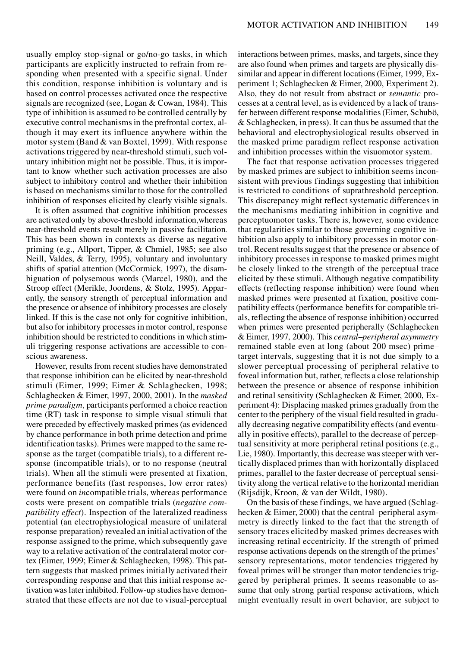usually employ stop-signal or go/no-go tasks, in which participants are explicitly instructed to refrain from re sponding when presented with a specific signal. Under this condition, response inhibition is voluntary and is based on control processes activated once the respective signals are recognized (see, Logan & Cowan, 1984). This type of inhibition is assumed to be controlled centrally by executive control mechanisms in the prefrontal cortex, although it may exert its influence anywhere within the motor system (Band & van Boxtel, 1999). With response activations triggered by near-threshold stimuli, such vol untary inhibition might not be possible. Thus, it is important to know whether such activation processes are also subject to inhibitory control and whether their inhibition is based on mechanisms similar to those for the controlled inhibition of responses elicited by clearly visible signals.

It is often assumed that cognitive inhibition processes are activated only by above-threshold information,whereas near-threshold events result merely in passive facilitation. This has been shown in contexts as diverse as negative priming (e.g., Allport, Tipper, & Chmiel, 1985; see also Neill, Valdes, & Terry, 1995), voluntary and involuntary shifts of spatial attention (McCormick, 1997), the disam biguation of polysemous words (Marcel, 1980), and the Stroop effect (Merikle, Joordens, & Stolz, 1995). Appar ently, the sensory strength of perceptual information and the presence or absence of inhibitory processes are closely linked. If this is the case not only for cognitive inhibition, but also for inhibitory processes in motor control, response inhibition should be restricted to conditions in which stim uli triggering response activations are accessible to con scious awareness.

However, results from recent studies have demonstrated that response inhibition can be elicited by near-threshold stimuli (Eimer, 1999; Eimer & Schlaghecken, 1998; Schlaghecken & Eimer, 1997, 2000, 2001). In the *masked prime paradigm*, participants performed a choice reaction time (RT) task in response to simple visual stimuli that were preceded by effectively masked primes (as evidenced by chance performance in both prime detection and prime identification tasks). Primes were mapped to the same re sponse as the target (compatible trials), to a different re sponse (incompatible trials), or to no response (neutral trials). When all the stimuli were presented at fixation, performance benefits (fast responses, low error rates) were found on *in*compatible trials, whereas performance costs were present on compatible trials (*negative com patibility effect*). Inspection of the lateralized readiness potential (an electrophysiological measure of unilateral response preparation) revealed an initial activation of the response assigned to the prime, which subsequently gave way to a relative activation of the contralateral motor cortex (Eimer, 1999; Eimer & Schlaghecken, 1998). This pattern suggests that masked primes initially activated their corresponding response and that this initial response activation was later inhibited. Follow-up studies have demon strated that these effects are not due to visual-perceptual interactions between primes, masks, and targets, since they are also found when primes and targets are physically dis similar and appear in different locations (Eimer, 1999, Ex periment 1; Schlaghecken & Eimer, 2000, Experiment 2). Also, they do not result from abstract or *semantic* processes at a central level, as is evidenced by a lack of transfer between different response modalities (Eimer, Schubö, & Schlaghecken, in press). It can thus be assumed that the behavioral and electrophysiological results observed in the masked prime paradigm reflect response activation and inhibition processes within the visuomotor system.

The fact that response activation processes triggered by masked primes are subject to inhibition seems incon sistent with previous findings suggesting that inhibition is restricted to conditions of suprathreshold perception. This discrepancy might reflect systematic differences in the mechanisms mediating inhibition in cognitive and perceptuomotor tasks. There is, however, some evidence that regularities similar to those governing cognitive in hibition also apply to inhibitory processes in motor control. Recent results suggest that the presence or absence of inhibitory processes in response to masked primes might be closely linked to the strength of the perceptual trace elicited by these stimuli. Although negative compatibility effects (reflecting response inhibition) were found when masked primes were presented at fixation, positive com patibility effects (performance benefits for compatible tri als, reflecting the absence of response inhibition) occurred when primes were presented peripherally (Schlaghecken & Eimer, 1997, 2000). This *central–peripheral asymmetry* remained stable even at long (about 200 msec) prime– target intervals, suggesting that it is not due simply to a slower perceptual processing of peripheral relative to foveal information but, rather, reflects a close relationship between the presence or absence of response inhibition and retinal sensitivity (Schlaghecken & Eimer, 2000, Ex periment 4): Displacing masked primes gradually from the center to the periphery of the visual field resulted in gradu ally decreasing negative compatibility effects (and eventu ally in positive effects), parallel to the decrease of perceptual sensitivity at more peripheral retinal positions (e.g., Lie, 1980). Importantly, this decrease was steeper with vertically displaced primes than with horizontally displaced primes, parallel to the faster decrease of perceptual sensitivity along the vertical relative to the horizontal meridian (Rijsdijk, Kroon, & van der Wildt, 1980).

On the basis of these findings, we have argued (Schlag hecken & Eimer, 2000) that the central–peripheral asym metry is directly linked to the fact that the strength of sensory traces elicited by masked primes decreases with increasing retinal eccentricity. If the strength of primed response activations depends on the strength of the primes' sensory representations, motor tendencies triggered by foveal primes will be stronger than motor tendencies triggered by peripheral primes. It seems reasonable to as sume that only strong partial response activations, which might eventually result in overt behavior, are subject to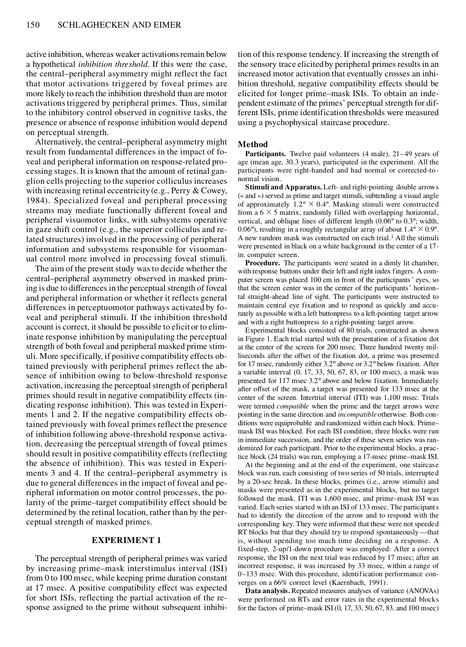active inhibition, whereas weaker activations remain below a hypothetical *inhibition threshold*. If this were the case, the central–peripheral asymmetry might reflect the fact that motor activations triggered by foveal primes are more likely to reach the inhibition threshold than are motor activations triggered by peripheral primes. Thus, similar to the inhibitory control observed in cognitive tasks, the presence or absence of response inhibition would depend on perceptual strength.

Alternatively, the central–peripheral asymmetry might result from fundamental differences in the impact of fo veal and peripheral information on response-related pro cessing stages. It is known that the amount of retinal gan glion cells projecting to the superior colliculus increases with increasing retinal eccentricity (e.g., Perry & Cowey, 1984). Specialized foveal and peripheral processing streams may mediate functionally different foveal and peripheral visuomotor links, with subsystems operative in gaze shift control (e.g., the superior colliculus and related structures) involved in the processing of peripheral information and subsystems responsible for visuoman ual control more involved in processing foveal stimuli.

The aim of the present study was to decide whether the central–peripheral asymmetry observed in masked priming is due to differences in the perceptual strength of foveal and peripheral information or whether it reflects general differences in perceptuomotor pathways activated by fo veal and peripheral stimuli. If the inhibition threshold account is correct, it should be possible to elicit or to eliminate response inhibition by manipulating the perceptual strength of both foveal and peripheral masked prime stim uli. More specifically, if positive compatibility effects obtained previously with peripheral primes reflect the ab sence of inhibition owing to below-threshold response activation, increasing the perceptual strength of peripheral primes should result in negative compatibility effects (in dicating response inhibition). This was tested in Experi ments 1 and 2. If the negative compatibility effects obtained previously with foveal primes reflect the presence of inhibition following above-threshold response activation, decreasing the perceptual strength of foveal primes should result in positive compatibility effects (reflecting the absence of inhibition). This was tested in Experi ments 3 and 4. If the central–peripheral asymmetry is due to general differences in the impact of foveal and peripheral information on motor control processes, the polarity of the prime–target compatibility effect should be determined by the retinal location, rather than by the per ceptual strength of masked primes.

## **EXPERIMENT 1**

The perceptual strength of peripheral primes was varied by increasing prime–mask interstimulus interval (ISI) from 0 to 100 msec, while keeping prime duration constant at 17 msec. A positive compatibility effect was expected for short ISIs, reflecting the partial activation of the re sponse assigned to the prime without subsequent inhibition of this response tendency. If increasing the strength of the sensory trace elicited by peripheral primes results in an increased motor activation that eventually crosses an inhi bition threshold, negative compatibility effects should be elicited for longer prime–mask ISIs. To obtain an inde pendent estimate of the primes' perceptual strength for different ISIs, prime identification thresholds were measured using a psychophysical staircase procedure.

## **Method**

Participants. Twelve paid volunteers (4 male), 21–49 years of age (mean age, 30.3 years), participated in the experiment. All the participants were right-handed and had normal or corrected-to normal vision.

**Stimuli and Apparatus.** Left- and right-pointing double arrows (« and ») served as prime and target stimuli, subtending a visual angle of approximately  $1.2^{\circ} \times 0.4^{\circ}$ . Masking stimuli were constructed from a  $6 \times 5$  matrix, randomly filled with overlapping horizontal, vertical, and oblique lines of different length (0.06º to 0.3º; width, 0.06°), resulting in a roughly rectangular array of about  $1.4\degree \times 0.9\degree$ . A new random mask was constructed on each trial.<sup>1</sup> All the stimuli were presented in black on a white background in the center of a 17 in. computer screen.

**Procedure.** The participants were seated in a dimly lit chamber, with response buttons under their left and right index fingers. A com puter screen was placed 100 cm in front of the participants' eyes, so that the screen center was in the center of the participants' horizontal straight-ahead line of sight. The participants were instructed to maintain central eye fixation and to respond as quickly and accurately as possible with a left buttonpress to a left-pointing target arrow and with a right buttonpress to a right-pointing target arrow.

Experimental blocks consisted of 80 trials, constructed as shown in Figure 1. Each trial started with the presentation of a fixation dot at the center of the screen for 200 msec. Three hundred twenty milliseconds after the offset of the fixation dot, a prime was presented for 17 msec, randomly either 3.2º above or 3.2º below fixation. After a variable interval (0, 17, 33, 50, 67, 83, or 100 msec), a mask was presented for 117 msec 3.2º above and below fixation. Immediately after offset of the mask, a target was presented for 133 msec at the center of the screen. Intertrial interval (ITI) was 1,100 msec. Trials were termed *compatible* when the prime and the target arrows were pointing in the same direction and *incompatible*otherwise. Both con ditions were equiprobable and randomized within each block. Prime– mask ISI was blocked. For each ISI condition, three blocks were run in immediate succession, and the order of these seven series was ran domized for each participant. Prior to the experimental blocks, a practice block (24 trials) was run, employing a 17-msec prime–mask ISI.

At the beginning and at the end of the experiment, one staircase block was run, each consisting of two series of 50 trials, interrupted by a 20-sec break. In these blocks, primes (i.e., arrow stimuli) and masks were presented as in the experimental blocks, but no target followed the mask. ITI was 1,600 msec, and prime–mask ISI was varied. Each series started with an ISI of 133 msec. The participants had to identify the direction of the arrow and to respond with the corresponding key. They were informed that these were not speeded RT blocks but that they should try to respond spontaneously—that is, without spending too much time deciding on a response. A fixed-step, 2-up/1-down procedure was employed: After a correct response, the ISI on the next trial was reduced by 17 msec; after an incorrect response, it was increased by 33 msec, within a range of 0–133 msec. With this procedure, identification performance con verges on a 66% correct level (Kaernbach, 1991).

**Data analysis.** Repeated measures analyses of variance (ANOVAs) were performed on RTs and error rates in the experimental blocks for the factors of prime–mask ISI (0, 17, 33, 50, 67, 83, and 100 msec)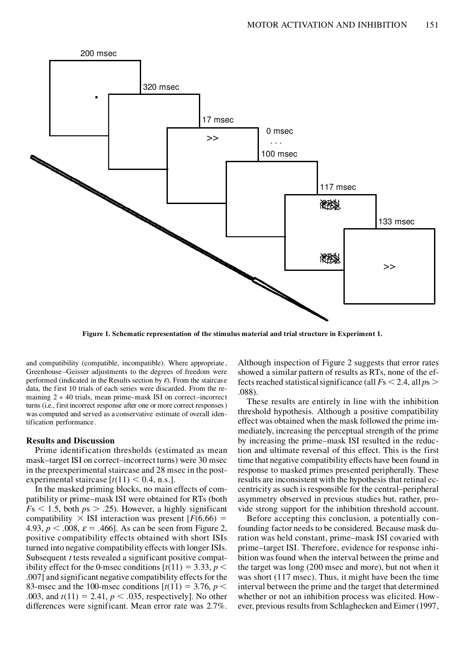

**Figure 1. Schematic representation of the stimulus material and trial structure in Experiment 1.**

and compatibility (compatible, incompatible). Where appropriate , Greenhouse–Geisser adjustments to the degrees of freedom were performed (indicated in the Results section by  $\varepsilon$ ). From the staircase data, the first 10 trials of each series were discarded. From the re maining 2 \* 40 trials, mean prime–mask ISI on correct–incorrect turns (i.e., first incorrect response after one or more correct responses) was computed and served as a conservative estimate of overall identification performance .

## **Results and Discussion**

Prime identification thresholds (estimated as mean mask–target ISI on correct–incorrect turns) were 30 msec in the preexperimental staircase and 28 msec in the post experimental staircase  $[t(11) < 0.4, n.s.]$ .

In the masked priming blocks, no main effects of com patibility or prime–mask ISI were obtained for RTs (both  $F_s$  < 1.5, both  $ps$  > .25). However, a highly significant compatibility  $\times$  ISI interaction was present [ $F(6,66)$  = 4.93,  $p < .008$ ,  $\varepsilon = .466$ . As can be seen from Figure 2, positive compatibility effects obtained with short ISIs turned into negative compatibility effects with longer ISIs. Subsequent *t* tests revealed a significant positive compatibility effect for the 0-msec conditions  $[t(11) = 3.33, p <$ .007] and significant negative compatibility effects for the 83-msec and the 100-msec conditions  $[t(11) = 3.76, p <$ .003, and  $t(11) = 2.41$ ,  $p < .035$ , respectively]. No other differences were significant. Mean error rate was 2.7%. Although inspection of Figure 2 suggests that error rates showed a similar pattern of results as RTs, none of the effects reached statistical significance (all  $Fs < 2.4$ , all  $ps >$ .088).

These results are entirely in line with the inhibition threshold hypothesis. Although a positive compatibility effect was obtained when the mask followed the prime im mediately, increasing the perceptual strength of the prime by increasing the prime–mask ISI resulted in the reduction and ultimate reversal of this effect. This is the first time that negative compatibility effects have been found in response to masked primes presented peripherally. These results are inconsistent with the hypothesis that retinal ec centricity as such is responsible for the central–peripheral asymmetry observed in previous studies but, rather, pro vide strong support for the inhibition threshold account.

Before accepting this conclusion, a potentially confounding factor needs to be considered. Because mask duration was held constant, prime–mask ISI covaried with prime–target ISI. Therefore, evidence for response inhi bition was found when the interval between the prime and the target was long (200 msec and more), but not when it was short (117 msec). Thus, it might have been the time interval between the prime and the target that determined whether or not an inhibition process was elicited. How ever, previous results from Schlaghecken and Eimer (1997,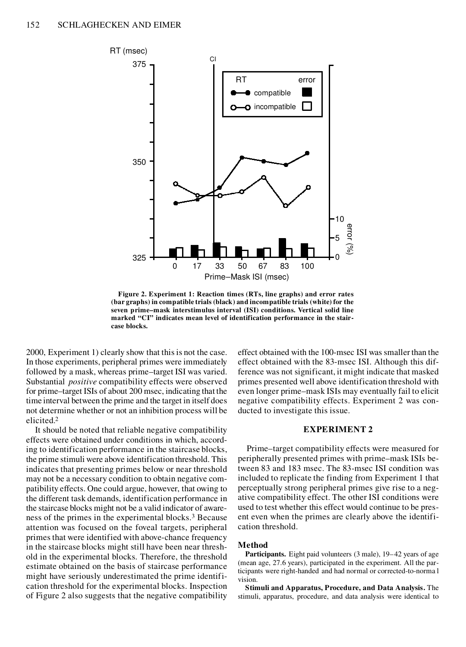

**Figure 2. Experiment 1: Reaction times (RTs, line graphs) and error rates (bar graphs) in compatible trials (black) and incompatible trials (white) for the seven prime–mask interstimulus interval (ISI) conditions. Vertical solid line marked "CI" indicates mean level of identification performance in the stair case blocks.**

2000, Experiment 1) clearly show that this is not the case. In those experiments, peripheral primes were immediately followed by a mask, whereas prime–target ISI was varied. Substantial *positive* compatibility effects were observed for prime–target ISIs of about 200 msec, indicating that the time interval between the prime and the target in itself does not determine whether or not an inhibition process will be elicited.2

It should be noted that reliable negative compatibility effects were obtained under conditions in which, according to identification performance in the staircase blocks, the prime stimuli were above identification threshold. This indicates that presenting primes below or near threshold may not be a necessary condition to obtain negative com patibility effects. One could argue, however, that owing to the different task demands, identification performance in the staircase blocks might not be a valid indicator of aware ness of the primes in the experimental blocks.3 Because attention was focused on the foveal targets, peripheral primes that were identified with above-chance frequency in the staircase blocks might still have been near thresh old in the experimental blocks. Therefore, the threshold estimate obtained on the basis of staircase performance might have seriously underestimated the prime identification threshold for the experimental blocks. Inspection of Figure 2 also suggests that the negative compatibility

effect obtained with the 100-msec ISI was smaller than the effect obtained with the 83-msec ISI. Although this difference was not significant, it might indicate that masked primes presented well above identification threshold with even longer prime–mask ISIs may eventually fail to elicit negative compatibility effects. Experiment 2 was con ducted to investigate this issue.

# **EXPERIMENT 2**

Prime–target compatibility effects were measured for peripherally presented primes with prime–mask ISIs between 83 and 183 msec. The 83-msec ISI condition was included to replicate the finding from Experiment 1 that perceptually strong peripheral primes give rise to a neg ative compatibility effect. The other ISI conditions were used to test whether this effect would continue to be pres ent even when the primes are clearly above the identification threshold.

#### **Method**

**Participants.** Eight paid volunteers (3 male), 19–42 years of age (mean age, 27.6 years), participated in the experiment. All the participants were right-handed and had normal or corrected-to-norma l vision.

**Stimuli and Apparatus, Procedure, and Data Analysis.** The stimuli, apparatus, procedure, and data analysis were identical to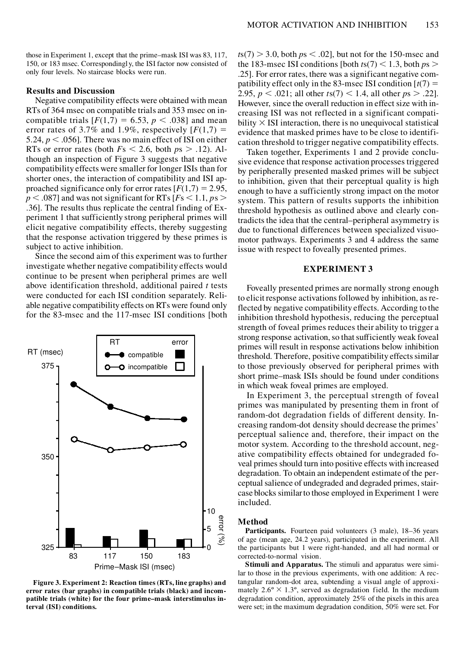those in Experiment 1, except that the prime–mask ISI was 83, 117, 150, or 183 msec. Correspondingly, the ISI factor now consisted of only four levels. No staircase blocks were run.

#### **Results and Discussion**

Negative compatibility effects were obtained with mean RTs of 364 msec on compatible trials and 353 msec on in compatible trials  $[F(1,7) = 6.53, p < .038]$  and mean error rates of 3.7% and 1.9%, respectively  $[F(1,7) =$ 5.24,  $p < .056$ . There was no main effect of ISI on either RTs or error rates (both  $Fs < 2.6$ , both  $ps > .12$ ). Although an inspection of Figure 3 suggests that negative compatibility effects were smaller for longer ISIs than for shorter ones, the interaction of compatibility and ISI ap proached significance only for error rates  $[F(1,7) = 2.95]$ ,  $p < .087$ ] and was not significant for RTs [ $Fs < 1.1, ps$  > .36]. The results thus replicate the central finding of Ex periment 1 that sufficiently strong peripheral primes will elicit negative compatibility effects, thereby suggesting that the response activation triggered by these primes is subject to active inhibition.

Since the second aim of this experiment was to further investigate whether negative compatibility effects would continue to be present when peripheral primes are well above identification threshold, additional paired *t* tests were conducted for each ISI condition separately. Reli able negative compatibility effects on RTs were found only for the 83-msec and the 117-msec ISI conditions [both



**Figure 3. Experiment 2: Reaction times (RTs, line graphs) and error rates (bar graphs) in compatible trials (black) and incom patible trials (white) for the four prime–mask interstimulus interval (ISI) conditions.**

 $t s(7) > 3.0$ , both  $p s < .02$ , but not for the 150-msec and the 183-msec ISI conditions [both  $ts(7) < 1.3$ , both  $ps >$ .25]. For error rates, there was a significant negative com patibility effect only in the 83-msec ISI condition  $[t(7)] =$ 2.95,  $p < .021$ ; all other  $t s(7) < 1.4$ , all other  $p s > .22$ ]. However, since the overall reduction in effect size with in creasing ISI was not reflected in a significant compati bility  $\times$  ISI interaction, there is no unequivocal statistical evidence that masked primes have to be close to identifi cation threshold to trigger negative compatibility effects.

Taken together, Experiments 1 and 2 provide conclu sive evidence that response activation processes triggered by peripherally presented masked primes will be subject to inhibition, given that their perceptual quality is high enough to have a sufficiently strong impact on the motor system. This pattern of results supports the inhibition threshold hypothesis as outlined above and clearly contradicts the idea that the central–peripheral asymmetry is due to functional differences between specialized visuo motor pathways. Experiments 3 and 4 address the same issue with respect to foveally presented primes.

## **EXPERIMENT 3**

Foveally presented primes are normally strong enough to elicit response activations followed by inhibition, as reflected by negative compatibility effects. According to the inhibition threshold hypothesis, reducing the perceptual strength of foveal primes reduces their ability to trigger a strong response activation, so that sufficiently weak foveal primes will result in response activations below inhibition threshold. Therefore, positive compatibility effects similar to those previously observed for peripheral primes with short prime–mask ISIs should be found under conditions in which weak foveal primes are employed.

In Experiment 3, the perceptual strength of foveal primes was manipulated by presenting them in front of random-dot degradation fields of different density. In creasing random-dot density should decrease the primes' perceptual salience and, therefore, their impact on the motor system. According to the threshold account, neg ative compatibility effects obtained for undegraded fo veal primes should turn into positive effects with increased degradation. To obtain an independent estimate of the per ceptual salience of undegraded and degraded primes, stair case blocks similar to those employed in Experiment 1 were included.

#### **Method**

Participants. Fourteen paid volunteers (3 male), 18-36 years of age (mean age, 24.2 years), participated in the experiment. All the participants but 1 were right-handed, and all had normal or corrected-to-normal vision.

**Stimuli and Apparatus.** The stimuli and apparatus were similar to those in the previous experiments, with one addition: A rectangular random-dot area, subtending a visual angle of approxi mately  $2.6^\circ \times 1.3^\circ$ , served as degradation field. In the medium degradation condition, approximately 25% of the pixels in this area were set; in the maximum degradation condition, 50% were set. For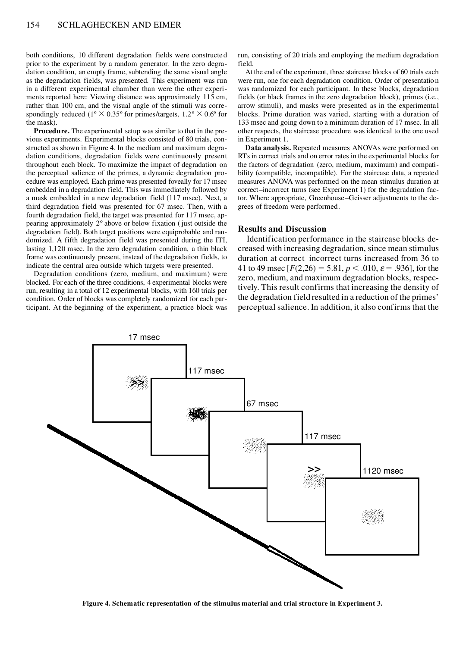both conditions, 10 different degradation fields were constructed prior to the experiment by a random generator. In the zero degra dation condition, an empty frame, subtending the same visual angle as the degradation fields, was presented. This experiment was run in a different experimental chamber than were the other experi ments reported here: Viewing distance was approximately 115 cm, rather than 100 cm, and the visual angle of the stimuli was corre spondingly reduced ( $1^{\circ} \times 0.35^{\circ}$  for primes/targets,  $1.2^{\circ} \times 0.6^{\circ}$  for the mask).

**Procedure.** The experimental setup was similar to that in the pre vious experiments. Experimental blocks consisted of 80 trials, con structed as shown in Figure 4. In the medium and maximum degra dation conditions, degradation fields were continuously present throughout each block. To maximize the impact of degradation on the perceptual salience of the primes, a dynamic degradation pro cedure was employed. Each prime was presented foveally for 17 msec embedded in a degradation field. This was immediately followed by a mask embedded in a new degradation field (117 msec). Next, a third degradation field was presented for 67 msec. Then, with a fourth degradation field, the target was presented for 117 msec, ap pearing approximately 2º above or below fixation ( just outside the degradation field). Both target positions were equiprobable and ran domized. A fifth degradation field was presented during the ITI, lasting 1,120 msec. In the zero degradation condition, a thin black frame was continuously present, instead of the degradation fields, to indicate the central area outside which targets were presented.

Degradation conditions (zero, medium, and maximum) were blocked. For each of the three conditions, 4 experimental blocks were run, resulting in a total of 12 experimental blocks, with 160 trials per condition. Order of blocks was completely randomized for each participant. At the beginning of the experiment, a practice block was run, consisting of 20 trials and employing the medium degradation field.

At the end of the experiment, three staircase blocks of 60 trials each were run, one for each degradation condition. Order of presentatio n was randomized for each participant. In these blocks, degradation fields (or black frames in the zero degradation block), primes (i.e., arrow stimuli), and masks were presented as in the experimenta l blocks. Prime duration was varied, starting with a duration of 133 msec and going down to a minimum duration of 17 msec. In all other respects, the staircase procedure was identical to the one used in Experiment 1.

**Data analysis.** Repeated measures ANOVAs were performed on RTs in correct trials and on error rates in the experimental blocks for the factors of degradation (zero, medium, maximum) and compati bility (compatible, incompatible). For the staircase data, a repeated measures ANOVA was performed on the mean stimulus duration at correct–incorrect turns (see Experiment 1) for the degradation factor. Where appropriate, Greenhouse–Geisser adjustments to the de grees of freedom were performed.

## **Results and Discussion**

Identification performance in the staircase blocks de creased with increasing degradation, since mean stimulus duration at correct–incorrect turns increased from 36 to 41 to 49 msec  $[F(2,26) = 5.81, p < .010, \varepsilon = .936]$ , for the zero, medium, and maximum degradation blocks, respectively. This result confirms that increasing the density of the degradation field resulted in a reduction of the primes' perceptual salience. In addition, it also confirms that the



**Figure 4. Schematic representation of the stimulus material and trial structure in Experiment 3.**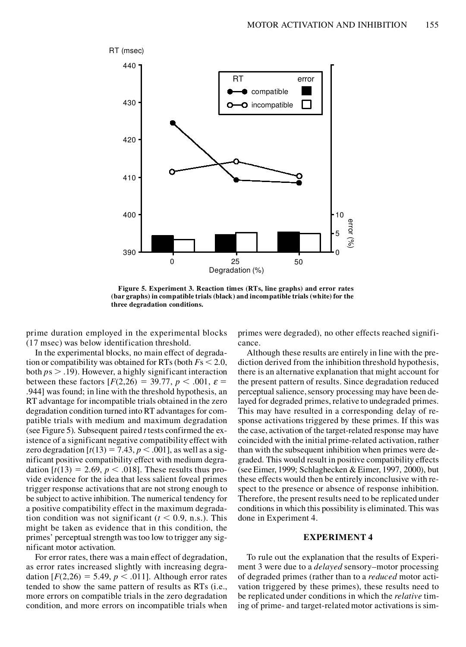

**Figure 5. Experiment 3. Reaction times (RTs, line graphs) and error rates (bar graphs) in compatible trials (black) and incompatible trials (white) for the three degradation conditions.**

prime duration employed in the experimental blocks (17 msec) was below identification threshold.

In the experimental blocks, no main effect of degradation or compatibility was obtained for RTs (both  $Fs < 2.0$ , both  $ps > .19$ ). However, a highly significant interaction between these factors  $[F(2,26) = 39.77, p < .001, \varepsilon =$ .944] was found; in line with the threshold hypothesis, an RT advantage for incompatible trials obtained in the zero degradation condition turned into RT advantages for com patible trials with medium and maximum degradation (see Figure 5). Subsequent paired *t* tests confirmed the existence of a significant negative compatibility effect with zero degradation  $[t(13) = 7.43, p < .001]$ , as well as a significant positive compatibility effect with medium degra dation  $[t(13) = 2.69, p < .018]$ . These results thus provide evidence for the idea that less salient foveal primes trigger response activations that are not strong enough to be subject to active inhibition. The numerical tendency for a positive compatibility effect in the maximum degradation condition was not significant  $(t < 0.9, n.s.).$  This might be taken as evidence that in this condition, the primes' perceptual strength was too low to trigger any sig nificant motor activation.

For error rates, there was a main effect of degradation, as error rates increased slightly with increasing degra dation  $[F(2,26) = 5.49, p < .011]$ . Although error rates tended to show the same pattern of results as RTs (i.e., more errors on compatible trials in the zero degradation condition, and more errors on incompatible trials when primes were degraded), no other effects reached significance.

Although these results are entirely in line with the pre diction derived from the inhibition threshold hypothesis, there is an alternative explanation that might account for the present pattern of results. Since degradation reduced perceptual salience, sensory processing may have been delayed for degraded primes, relative to undegraded primes. This may have resulted in a corresponding delay of re sponse activations triggered by these primes. If this was the case, activation of the target-related response may have coincided with the initial prime-related activation, rather than with the subsequent inhibition when primes were de graded. This would result in positive compatibility effects (see Eimer, 1999; Schlaghecken & Eimer, 1997, 2000), but these effects would then be entirely inconclusive with re spect to the presence or absence of response inhibition. Therefore, the present results need to be replicated under conditions in which this possibility is eliminated. This was done in Experiment 4.

## **EXPERIMENT 4**

To rule out the explanation that the results of Experi ment 3 were due to a *delayed* sensory–motor processing of degraded primes (rather than to a *reduced* motor acti vation triggered by these primes), these results need to be replicated under conditions in which the *relative* timing of prime- and target-related motor activations is sim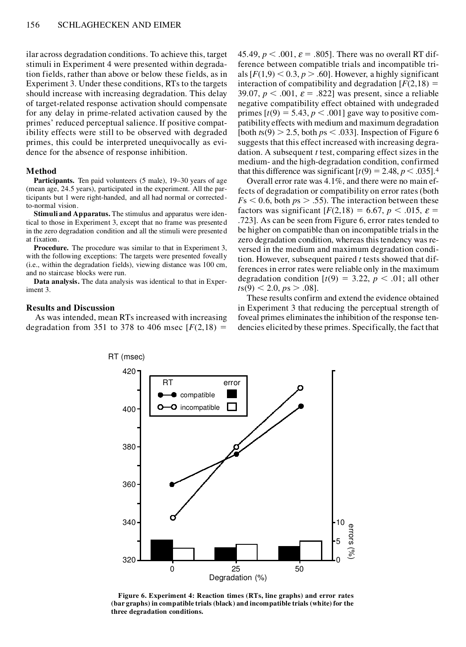ilar across degradation conditions. To achieve this, target stimuli in Experiment 4 were presented within degradation fields, rather than above or below these fields, as in Experiment 3. Under these conditions, RTs to the targets should increase with increasing degradation. This delay of target-related response activation should compensate for any delay in prime-related activation caused by the primes' reduced perceptual salience. If positive compatibility effects were still to be observed with degraded primes, this could be interpreted unequivocally as evi dence for the absence of response inhibition.

#### **Method**

**Participants.** Ten paid volunteers (5 male), 19–30 years of age (mean age, 24.5 years), participated in the experiment. All the participants but 1 were right-handed, and all had normal or correctedto-normal vision.

**Stimuli and Apparatus.** The stimulus and apparatus were identical to those in Experiment 3, except that no frame was presented in the zero degradation condition and all the stimuli were presented at fixation.

**Procedure.** The procedure was similar to that in Experiment 3, with the following exceptions: The targets were presented foveally (i.e., within the degradation fields), viewing distance was 100 cm, and no staircase blocks were run.

**Data analysis.** The data analysis was identical to that in Experiment 3.

### **Results and Discussion**

As was intended, mean RTs increased with increasing degradation from 351 to 378 to 406 msec  $[F(2,18) =$ 

45.49,  $p < .001$ ,  $\varepsilon = .805$ . There was no overall RT difference between compatible trials and incompatible tri als  $[F(1,9) < 0.3, p > .60]$ . However, a highly significant interaction of compatibility and degradation  $[F(2,18) =$ 39.07,  $p < .001$ ,  $\varepsilon = .822$ ] was present, since a reliable negative compatibility effect obtained with undegraded primes  $[t(9) = 5.43, p < .001]$  gave way to positive compatibility effects with medium and maximum degradation [both  $t s(9) > 2.5$ , both  $p s < .033$ ]. Inspection of Figure 6 suggests that this effect increased with increasing degra dation. A subsequent *t* test, comparing effect sizes in the medium- and the high-degradation condition, confirmed that this difference was significant  $[t(9) = 2.48, p < .035]$ .<sup>4</sup>

Overall error rate was 4.1%, and there were no main effects of degradation or compatibility on error rates (both  $F_s$  < 0.6, both  $ps$  > .55). The interaction between these factors was significant  $[F(2,18) = 6.67, p < .015, \varepsilon =$ .723]. As can be seen from Figure 6, error rates tended to be higher on compatible than on incompatible trials in the zero degradation condition, whereas this tendency was re versed in the medium and maximum degradation condition. However, subsequent paired *t* tests showed that differences in error rates were reliable only in the maximum degradation condition  $[t(9) = 3.22, p < .01$ ; all other  $t s(9) < 2.0, ps > .08$ ].

These results confirm and extend the evidence obtained in Experiment 3 that reducing the perceptual strength of foveal primes eliminates the inhibition of the response ten dencies elicited by these primes. Specifically, the fact that



**Figure 6. Experiment 4: Reaction times (RTs, line graphs) and error rates (bar graphs) in compatible trials (black) and incompatible trials (white) for the three degradation conditions.**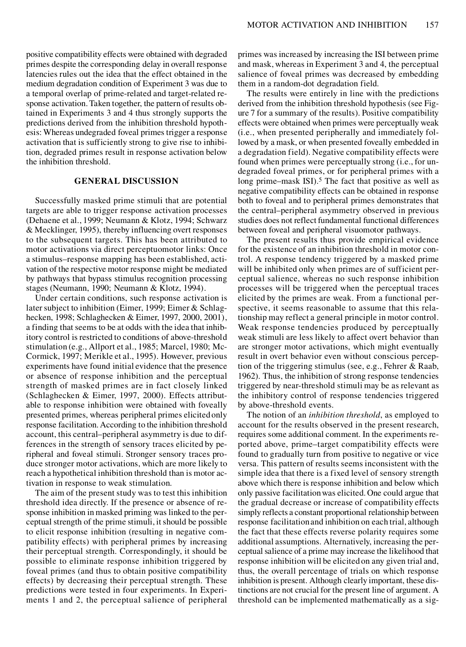positive compatibility effects were obtained with degraded primes despite the corresponding delay in overall response latencies rules out the idea that the effect obtained in the medium degradation condition of Experiment 3 was due to a temporal overlap of prime-related and target-related re sponse activation. Taken together, the pattern of results obtained in Experiments 3 and 4 thus strongly supports the predictions derived from the inhibition threshold hypoth esis: Whereas undegraded foveal primes trigger a response activation that is sufficiently strong to give rise to inhibition, degraded primes result in response activation below the inhibition threshold.

## **GENERAL DISCUSSION**

Successfully masked prime stimuli that are potential targets are able to trigger response activation processes (Dehaene et al., 1999; Neumann & Klotz, 1994; Schwarz & Mecklinger, 1995), thereby influencing overt responses to the subsequent targets. This has been attributed to motor activations via direct perceptuomotor links: Once a stimulus–response mapping has been established, acti vation of the respective motor response might be mediated by pathways that bypass stimulus recognition processing stages (Neumann, 1990; Neumann & Klotz, 1994).

Under certain conditions, such response activation is later subject to inhibition (Eimer, 1999; Eimer & Schlag hecken, 1998; Schlaghecken & Eimer, 1997, 2000, 2001), a finding that seems to be at odds with the idea that inhibitory control is restricted to conditions of above-threshold stimulation (e.g., Allport et al., 1985; Marcel, 1980; Mc- Cormick, 1997; Merikle et al., 1995). However, previous experiments have found initial evidence that the presence or absence of response inhibition and the perceptual strength of masked primes are in fact closely linked (Schlaghecken & Eimer, 1997, 2000). Effects attribut able to response inhibition were obtained with foveally presented primes, whereas peripheral primes elicited only response facilitation. According to the inhibition threshold account, this central–peripheral asymmetry is due to differences in the strength of sensory traces elicited by peripheral and foveal stimuli. Stronger sensory traces pro duce stronger motor activations, which are more likely to reach a hypothetical inhibition threshold than is motor activation in response to weak stimulation.

The aim of the present study was to test this inhibition threshold idea directly. If the presence or absence of re sponse inhibition in masked priming was linked to the per ceptual strength of the prime stimuli, it should be possible to elicit response inhibition (resulting in negative com patibility effects) with peripheral primes by increasing their perceptual strength. Correspondingly, it should be possible to eliminate response inhibition triggered by foveal primes (and thus to obtain positive compatibility effects) by decreasing their perceptual strength. These predictions were tested in four experiments. In Experi ments 1 and 2, the perceptual salience of peripheral primes was increased by increasing the ISI between prime and mask, whereas in Experiment 3 and 4, the perceptual salience of foveal primes was decreased by embedding them in a random-dot degradation field.

The results were entirely in line with the predictions derived from the inhibition threshold hypothesis (see Fig ure 7 for a summary of the results). Positive compatibility effects were obtained when primes were perceptually weak (i.e., when presented peripherally and immediately followed by a mask, or when presented foveally embedded in a degradation field). Negative compatibility effects were found when primes were perceptually strong (i.e., for un degraded foveal primes, or for peripheral primes with a long prime–mask ISI).<sup>5</sup> The fact that positive as well as negative compatibility effects can be obtained in response both to foveal and to peripheral primes demonstrates that the central–peripheral asymmetry observed in previous studies does not reflect fundamental functional differences between foveal and peripheral visuomotor pathways.

The present results thus provide empirical evidence for the existence of an inhibition threshold in motor control. A response tendency triggered by a masked prime will be inhibited only when primes are of sufficient per ceptual salience, whereas no such response inhibition processes will be triggered when the perceptual traces elicited by the primes are weak. From a functional per spective, it seems reasonable to assume that this relationship may reflect a general principle in motor control. Weak response tendencies produced by perceptually weak stimuli are less likely to affect overt behavior than are stronger motor activations, which might eventually result in overt behavior even without conscious perception of the triggering stimulus (see, e.g., Fehrer & Raab, 1962). Thus, the inhibition of strong response tendencies triggered by near-threshold stimuli may be as relevant as the inhibitory control of response tendencies triggered by above-threshold events.

The notion of an *inhibition threshold*, as employed to account for the results observed in the present research, requires some additional comment. In the experiments re ported above, prime–target compatibility effects were found to gradually turn from positive to negative or vice versa. This pattern of results seems inconsistent with the simple idea that there is a fixed level of sensory strength above which there is response inhibition and below which only passive facilitation was elicited. One could argue that the gradual decrease or increase of compatibility effects simply reflects a constant proportional relationship between response facilitation and inhibition on each trial, although the fact that these effects reverse polarity requires some additional assumptions. Alternatively, increasing the per ceptual salience of a prime may increase the likelihood that response inhibition will be elicited on any given trial and, thus, the overall percentage of trials on which response inhibition is present. Although clearly important, these distinctions are not crucial for the present line of argument. A threshold can be implemented mathematically as a sig-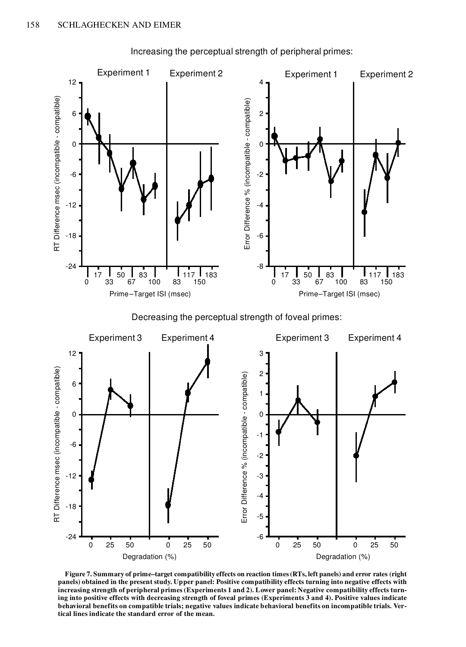

Increasing the perceptual strength of peripheral primes:

Decreasing the perceptual strength of foveal primes:



**Figure 7. Summary of prime–target compatibility effects on reaction times (RTs, left panels) and error rates (right panels) obtained in the present study. Upper panel: Positive compatibility effects turning into negative effects with increasing strength of peripheral primes (Experiments 1 and 2). Lower panel: Negative compatibility effects turning into positive effects with decreasing strength of foveal primes (Experiments 3 and 4). Positive values indicate behavioral benefits on compatible trials; negative values indicate behavioral benefits on incompatible trials. Vertical lines indicate the standard error of the mean.**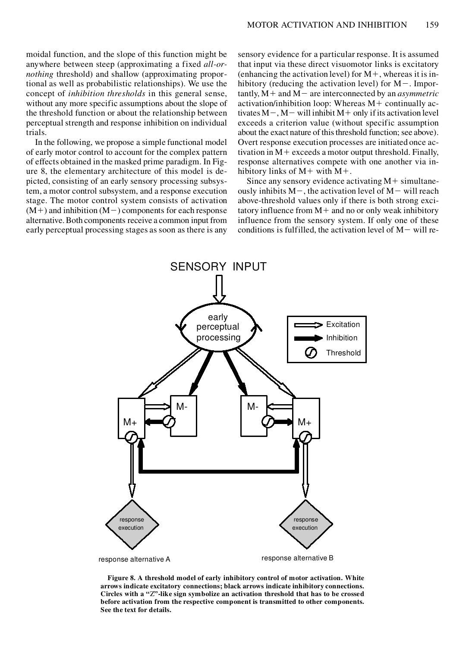moidal function, and the slope of this function might be anywhere between steep (approximating a fixed *all-ornothing* threshold) and shallow (approximating proportional as well as probabilistic relationships). We use the concept of *inhibition thresholds* in this general sense, without any more specific assumptions about the slope of the threshold function or about the relationship between perceptual strength and response inhibition on individual trials.

In the following, we propose a simple functional model of early motor control to account for the complex pattern of effects obtained in the masked prime paradigm. In Fig ure 8, the elementary architecture of this model is de picted, consisting of an early sensory processing subsystem, a motor control subsystem, and a response execution stage. The motor control system consists of activation  $(M+)$  and inhibition  $(M-)$  components for each response alternative. Both components receive a common input from early perceptual processing stages as soon as there is any sensory evidence for a particular response. It is assumed that input via these direct visuomotor links is excitatory (enhancing the activation level) for  $M+$ , whereas it is inhibitory (reducing the activation level) for  $M-$ . Impor $tantly, M+ and M- are interconnected by an *asymmetric*$ activation/inhibition loop: Whereas  $M$ + continually activates  $M-$ ,  $M-$  will inhibit  $M+$  only if its activation level exceeds a criterion value (without specific assumption about the exact nature of this threshold function; see above). Overt response execution processes are initiated once activation in  $M$  + exceeds a motor output threshold. Finally, response alternatives compete with one another via in hibitory links of  $M+$  with  $M+$ .

Since any sensory evidence activating  $M + \sin(1)$  simultaneously inhibits  $M-$ , the activation level of  $M-$  will reach above-threshold values only if there is both strong excitatory influence from  $M$  + and no or only weak inhibitory influence from the sensory system. If only one of these conditions is fulfilled, the activation level of  $M$  – will re-



**Figure 8. A threshold model of early inhibitory control of motor activation. White arrows indicate excitatory connections; black arrows indicate inhibitory connections. Circles with a "**Z**"-like sign symbolize an activation threshold that has to be crossed before activation from the respective component is transmitted to other components. See the text for details.**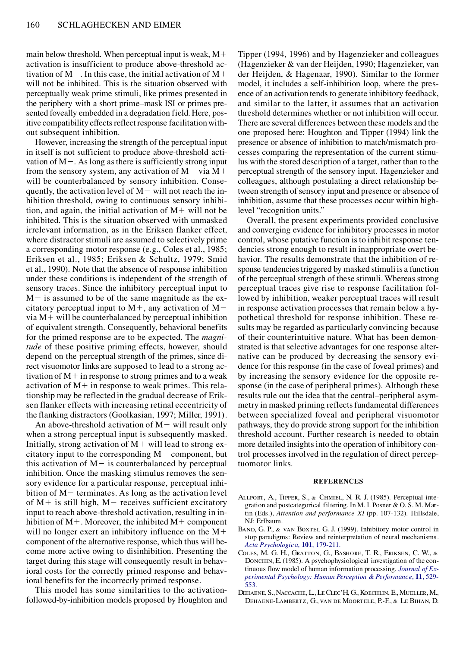main below threshold. When perceptual input is weak,  $M<sup>+</sup>$ activation is insufficient to produce above-threshold activation of  $M-$ . In this case, the initial activation of  $M+$ will not be inhibited. This is the situation observed with perceptually weak prime stimuli, like primes presented in the periphery with a short prime–mask ISI or primes pre sented foveally embedded in a degradation field. Here, positive compatibility effects reflect response facilitation with out subsequent inhibition.

However, increasing the strength of the perceptual input in itself is not sufficient to produce above-threshold acti vation of  $M-$ . As long as there is sufficiently strong input from the sensory system, any activation of  $M$  – via  $M$ + will be counterbalanced by sensory inhibition. Conse quently, the activation level of  $M$  – will not reach the inhibition threshold, owing to continuous sensory inhibition, and again, the initial activation of  $M+$  will not be inhibited. This is the situation observed with unmasked irrelevant information, as in the Eriksen flanker effect, where distractor stimuli are assumed to selectively prime a corresponding motor response (e.g., Coles et al., 1985; Eriksen et al., 1985; Eriksen & Schultz, 1979; Smid et al., 1990). Note that the absence of response inhibition under these conditions is independent of the strength of sensory traces. Since the inhibitory perceptual input to  $M-$  is assumed to be of the same magnitude as the excitatory perceptual input to  $M+$ , any activation of  $M$ via  $M+$  will be counterbalanced by perceptual inhibition of equivalent strength. Consequently, behavioral benefits for the primed response are to be expected. The *magnitude* of these positive priming effects, however, should depend on the perceptual strength of the primes, since direct visuomotor links are supposed to lead to a strong activation of  $M<sup>+</sup>$  in response to strong primes and to a weak activation of  $M+$  in response to weak primes. This relationship may be reflected in the gradual decrease of Erik sen flanker effects with increasing retinal eccentricity of the flanking distractors (Goolkasian, 1997; Miller, 1991).

An above-threshold activation of  $M$  – will result only when a strong perceptual input is subsequently masked. Initially, strong activation of  $M+$  will lead to strong excitatory input to the corresponding  $M-$  component, but this activation of  $M-$  is counterbalanced by perceptual inhibition. Once the masking stimulus removes the sen sory evidence for a particular response, perceptual inhi bition of  $M$  – terminates. As long as the activation level of  $M+$  is still high,  $M-$  receives sufficient excitatory input to reach above-threshold activation, resulting in in hibition of  $M+$ . Moreover, the inhibited  $M+$  component will no longer exert an inhibitory influence on the  $M<sup>+</sup>$ component of the alternative response, which thus will be come more active owing to disinhibition. Presenting the target during this stage will consequently result in behavioral costs for the correctly primed response and behavioral benefits for the incorrectly primed response.

This model has some similarities to the activationfollowed-by-inhibition models proposed by Houghton and Tipper (1994, 1996) and by Hagenzieker and colleagues (Hagenzieker & van der Heijden, 1990; Hagenzieker, van der Heijden, & Hagenaar, 1990). Similar to the former model, it includes a self-inhibition loop, where the pres ence of an activation tends to generate inhibitory feedback, and similar to the latter, it assumes that an activation threshold determines whether or not inhibition will occur. There are several differences between these models and the one proposed here: Houghton and Tipper (1994) link the presence or absence of inhibition to match/mismatch pro cesses comparing the representation of the current stimulus with the stored description of a target, rather than to the perceptual strength of the sensory input. Hagenzieker and colleagues, although postulating a direct relationship between strength of sensory input and presence or absence of inhibition, assume that these processes occur within highlevel "recognition units."

Overall, the present experiments provided conclusive and converging evidence for inhibitory processes in motor control, whose putative function is to inhibit response ten dencies strong enough to result in inappropriate overt be havior. The results demonstrate that the inhibition of re sponse tendencies triggered by masked stimuli is a function of the perceptual strength of these stimuli. Whereas strong perceptual traces give rise to response facilitation followed by inhibition, weaker perceptual traces will result in response activation processes that remain below a hy pothetical threshold for response inhibition. These re sults may be regarded as particularly convincing because of their counterintuitive nature. What has been demon strated is that selective advantages for one response alter native can be produced by decreasing the sensory evi dence for this response (in the case of foveal primes) and by increasing the sensory evidence for the opposite re sponse (in the case of peripheral primes). Although these results rule out the idea that the central–peripheral asym metry in masked priming reflects fundamental differences between specialized foveal and peripheral visuomotor pathways, they do provide strong support for the inhibition threshold account. Further research is needed to obtain more detailed insights into the operation of inhibitory control processes involved in the regulation of direct perceptuomotor links.

#### **REFERENCES**

- Allport, A., Tipper, S., & Chmiel, N. R. J. (1985). Perceptual inte gration and postcategorical filtering. In M. I. Posner & O. S. M. Martin (Eds.), *Attention and performance XI* (pp. 107-132). Hillsdale, NJ: Erlbaum.
- BAND, G. P., & VAN BOXTEL G. J. (1999). Inhibitory motor control in stop paradigms: Review and reinterpretation of neural mechanisms. *[Acta Psychologica](http://zerlina.catchword.com/nw=1/rpsv/cgi-bin/linker?ext=a&reqidx=/0001-6918^28^29101L.179[aid=2274463])*, **101**, 179-211.
- Coles, M. G. H., Gratton, G., Bashore, T. R., Eriksen, C. W., & DONCHIN, E. (1985). A psychophysiological investigation of the continuous flow model of human information processing. *[Journal of Ex](http://zerlina.catchword.com/nw=1/rpsv/cgi-bin/linker?ext=a&reqidx=/0096-1523^28^2911L.529[aid=307261]) [perimental Psychology: Human Perception & Performance](http://zerlina.catchword.com/nw=1/rpsv/cgi-bin/linker?ext=a&reqidx=/0096-1523^28^2911L.529[aid=307261])*, **11**, 529- [553.](http://zerlina.catchword.com/nw=1/rpsv/cgi-bin/linker?ext=a&reqidx=/0096-1523^28^2911L.529[aid=307261])
- DEHAENE, S., NACCACHE, L., LE CLEC'H, G., KOECHLIN, E., MUELLER, M., Dehaene-Lambertz, G., van de Moortele, P.-F., & Le Bihan, D.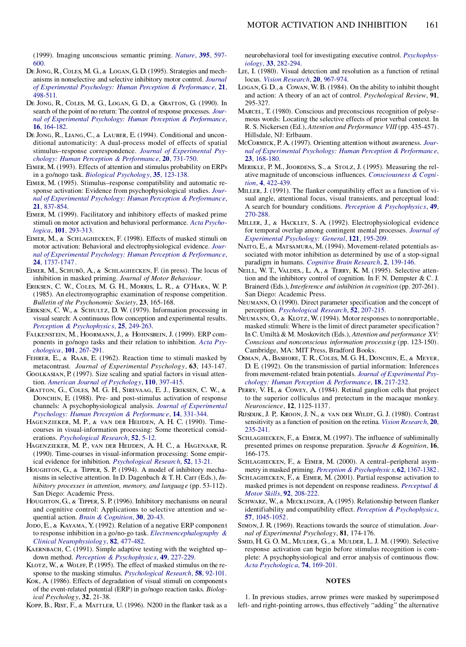(1999). Imaging unconscious semantic priming. *[Nature](http://zerlina.catchword.com/nw=1/rpsv/cgi-bin/linker?ext=a&reqidx=/0028-0836^28^29395L.597[aid=2274464])*, **395**, 597- [600.](http://zerlina.catchword.com/nw=1/rpsv/cgi-bin/linker?ext=a&reqidx=/0028-0836^28^29395L.597[aid=2274464])

- De Jong, R., Coles, M. G., & Logan, G. D. (1995). Strategies and mech anisms in nonselective and selective inhibitory motor control. *[Journal](http://zerlina.catchword.com/nw=1/rpsv/cgi-bin/linker?ext=a&reqidx=/0096-1523^28^2921L.498[aid=19357]) [of Experimental Psychology: Human Perception & Performance](http://zerlina.catchword.com/nw=1/rpsv/cgi-bin/linker?ext=a&reqidx=/0096-1523^28^2921L.498[aid=19357])*, **21**, [498-511.](http://zerlina.catchword.com/nw=1/rpsv/cgi-bin/linker?ext=a&reqidx=/0096-1523^28^2921L.498[aid=19357])
- De Jong, R., Coles, M. G., Logan, G. D., & Gratton, G. (1990). In search of the point of no return: The control of response processes. *[Jour](http://zerlina.catchword.com/nw=1/rpsv/cgi-bin/linker?ext=a&reqidx=/0096-1523^28^2916L.164[aid=306690])[nal of Experimental Psychology: Human Perception & Performance](http://zerlina.catchword.com/nw=1/rpsv/cgi-bin/linker?ext=a&reqidx=/0096-1523^28^2916L.164[aid=306690])*, **16**[, 164-182.](http://zerlina.catchword.com/nw=1/rpsv/cgi-bin/linker?ext=a&reqidx=/0096-1523^28^2916L.164[aid=306690])
- De Jong, R., Liang, C., & Lauber, E. (1994). Conditional and uncon ditional automaticity: A dual-process model of effects of spatial stimulus–response correspondence. *[Journal of Experimental Psy](http://zerlina.catchword.com/nw=1/rpsv/cgi-bin/linker?ext=a&reqidx=/0096-1523^28^2920L.731[aid=308336]) [chology: Human Perception & Performance](http://zerlina.catchword.com/nw=1/rpsv/cgi-bin/linker?ext=a&reqidx=/0096-1523^28^2920L.731[aid=308336])*, **20**, 731-750.
- Eimer, M. (1993). Effects of attention and stimulus probability on ERPs in a go/nogo task. *[Biological Psychology](http://zerlina.catchword.com/nw=1/rpsv/cgi-bin/linker?ext=a&reqidx=/0301-0511^28^2935L.123[aid=2274465])*, **35**, 123-138.
- Eimer, M. (1995). Stimulus–response compatibility and automatic re sponse activation: Evidence from psychophysiological studies. *[Jour](http://zerlina.catchword.com/nw=1/rpsv/cgi-bin/linker?ext=a&reqidx=/0096-1523^28^2921L.837[aid=294562])[nal of Experimental Psychology: Human Perception & Performance](http://zerlina.catchword.com/nw=1/rpsv/cgi-bin/linker?ext=a&reqidx=/0096-1523^28^2921L.837[aid=294562])*, **21**[, 837-854.](http://zerlina.catchword.com/nw=1/rpsv/cgi-bin/linker?ext=a&reqidx=/0096-1523^28^2921L.837[aid=294562])
- Eimer, M. (1999). Facilitatory and inhibitory effects of masked prime stimuli on motor activation and behavioral performance. *[Acta Psycho](http://zerlina.catchword.com/nw=1/rpsv/cgi-bin/linker?ext=a&reqidx=/0001-6918^28^29101L.293[aid=2274466])logica*, **101**[, 293-313.](http://zerlina.catchword.com/nw=1/rpsv/cgi-bin/linker?ext=a&reqidx=/0001-6918^28^29101L.293[aid=2274466])
- EIMER, M., & SCHLAGHECKEN, F. (1998). Effects of masked stimuli on motor activation: Behavioral and electrophysiological evidence. *[Jour](http://zerlina.catchword.com/nw=1/rpsv/cgi-bin/linker?ext=a&reqidx=/0096-1523^28^2924L.1737[aid=1189619])[nal of Experimental Psychology: Human Perception & Performance](http://zerlina.catchword.com/nw=1/rpsv/cgi-bin/linker?ext=a&reqidx=/0096-1523^28^2924L.1737[aid=1189619])*, **24**[, 1737-1747.](http://zerlina.catchword.com/nw=1/rpsv/cgi-bin/linker?ext=a&reqidx=/0096-1523^28^2924L.1737[aid=1189619])
- Eimer, M., Schubö, A., & Schlaghecken, F. (in press). The locus of inhibition in masked priming. *Journal of Motor Behaviour*.
- Eriksen, C. W., Coles, M. G. H., Morris, L. R., & O'Hara, W. P. (1985). An electromyographic examination of response competition. *Bulletin of the Psychonomic Society*, **23**, 165-168.
- ERIKSEN, C. W., & SCHULTZ, D. W. (1979). Information processing in visual search: A continuous flow conception and experimental results. *[Perception & Psychophysics](http://zerlina.catchword.com/nw=1/rpsv/cgi-bin/linker?ext=a&reqidx=/0031-5117^28^2925L.249[aid=303997])*, **25**, 249-263.
- Falkenstein, M., Hoormann, J., & Hohnsbein, J. (1999). ERP com ponents in go/nogo tasks and their relation to inhibition. *[Acta Psy](http://zerlina.catchword.com/nw=1/rpsv/cgi-bin/linker?ext=a&reqidx=/0001-6918^28^29101L.267[aid=2274467])chologica*, **101**[, 267-291.](http://zerlina.catchword.com/nw=1/rpsv/cgi-bin/linker?ext=a&reqidx=/0001-6918^28^29101L.267[aid=2274467])
- FEHRER, E., & RAAB, E. (1962). Reaction time to stimuli masked by metacontrast. *Journal of Experimental Psychology*, **63**, 143-147.
- Goolkasian, P. (1997). Size scaling and spatial factors in visual attention. *[American Journal of Psychology](http://zerlina.catchword.com/nw=1/rpsv/cgi-bin/linker?ext=a&reqidx=/0002-9556^28^29110L.397[aid=1277749])*, **110**, 397-415.
- Gratton, G., Coles, M. G. H., Sirevaag, E. J., Eriksen, C. W., & DONCHIN, E. (1988). Pre- and post-stimulus activation of response channels: A psychophysiological analysis. *[Journal of Experimental](http://zerlina.catchword.com/nw=1/rpsv/cgi-bin/linker?ext=a&reqidx=/0096-1523^28^2914L.331[aid=212286]) [Psychology: Human Perception & Performance](http://zerlina.catchword.com/nw=1/rpsv/cgi-bin/linker?ext=a&reqidx=/0096-1523^28^2914L.331[aid=212286])*, **14**, 331-344.
- Hagenzieker, M. P., & van der Heijden, A. H. C. (1990). Time courses in visual-information processing: Some theoretical consid erations. *[Psychological Research](http://zerlina.catchword.com/nw=1/rpsv/cgi-bin/linker?ext=a&reqidx=/0340-0727^28^2952L.5[aid=2274469])*, **52**, 5-12.
- Hagenzieker, M. P., van der Heijden, A. H. C., & Hagenaar, R. (1990). Time-courses in visual-information processing: Some empirical evidence for inhibition. *[Psychological Research](http://zerlina.catchword.com/nw=1/rpsv/cgi-bin/linker?ext=a&reqidx=/0340-0727^28^2952L.13[aid=296094])*, **52**, 13-21.
- HOUGHTON, G., & TIPPER, S. P. (1994). A model of inhibitory mechanisms in selective attention. In D. Dagenbach & T. H. Carr (Eds.), *Inhibitory processes in attention, memory, and language* (pp. 53-112). San Diego: Academic Press.
- HOUGHTON, G., & TIPPER, S. P. (1996). Inhibitory mechanisms on neural and cognitive control: Applications to selective attention and se quential action. *[Brain & Cognition](http://zerlina.catchword.com/nw=1/rpsv/cgi-bin/linker?ext=a&reqidx=/0278-2626^28^2930L.20[aid=19361])*, **30**, 20-43.
- Jodo, E., & KAYAMA, Y. (1992). Relation of a negative ERP component to response inhibition in a go/no-go task. *[Electroencephalography &](http://zerlina.catchword.com/nw=1/rpsv/cgi-bin/linker?ext=a&reqidx=/0013-4694^28^2982L.477[aid=1191850]) [Clinical Neurophysiolog](http://zerlina.catchword.com/nw=1/rpsv/cgi-bin/linker?ext=a&reqidx=/0013-4694^28^2982L.477[aid=1191850]) y*, **82**, 477-482.
- KAERNBACH, C. (1991). Simple adaptive testing with the weighted up– down method. *[Perception & Psychophysics](http://zerlina.catchword.com/nw=1/rpsv/cgi-bin/linker?ext=a&reqidx=/0031-5117^28^2949L.227[aid=309624])*, **49**, 227-229.
- KLOTZ, W., & WOLFF, P. (1995). The effect of masked stimulus on the response to the masking stimulus. *[Psychological Research](http://zerlina.catchword.com/nw=1/rpsv/cgi-bin/linker?ext=a&reqidx=/0340-0727^28^2958L.92[aid=298740])*, **58**, 92-101.
- Kok, A. (1986). Effects of degradation of visual stimuli on components of the event-related potential (ERP) in go/nogo reaction tasks. *Biological Psychology*, **32**, 21-38.

Kopp, B., Rist, F., & Mattler, U. (1996). N200 in the flanker task as a

neurobehavioral tool for investigating executive control. *[Psychophys](http://zerlina.catchword.com/nw=1/rpsv/cgi-bin/linker?ext=a&reqidx=/0048-5772^28^2933L.282[aid=847356])iology*, **33**[, 282-294.](http://zerlina.catchword.com/nw=1/rpsv/cgi-bin/linker?ext=a&reqidx=/0048-5772^28^2933L.282[aid=847356])

- Lie, I. (1980). Visual detection and resolution as a function of retinal locus. *[Vision Research](http://zerlina.catchword.com/nw=1/rpsv/cgi-bin/linker?ext=a&reqidx=/0042-6989^28^2920L.967[aid=724994])*, **20**, 967-974.
- Logan, G. D., & Cowan, W. B. (1984). On the ability to inhibit thought and action: A theory of an act of control. *Psychological Review*, **91**, 295-327.
- Marcel, T. (1980). Conscious and preconscious recognition of polyse mous words: Locating the selective effects of prior verbal context. In R. S. Nickersen (Ed.), *Attention and Performance VIII* (pp. 435-457). Hillsdale, NJ: Erlbaum.
- McCormick, P. A. (1997). Orienting attention without awareness. *[Jour](http://zerlina.catchword.com/nw=1/rpsv/cgi-bin/linker?ext=a&reqidx=/0096-1523^28^2923L.168[aid=19618])[nal of Experimental Psychology: Human Perception & Performance](http://zerlina.catchword.com/nw=1/rpsv/cgi-bin/linker?ext=a&reqidx=/0096-1523^28^2923L.168[aid=19618])*, **23**[, 168-180.](http://zerlina.catchword.com/nw=1/rpsv/cgi-bin/linker?ext=a&reqidx=/0096-1523^28^2923L.168[aid=19618])
- Merikle, P. M., Joordens, S., & Stolz, J. (1995). Measuring the rel ative magnitude of unconscious influences. *[Consciousness & Cogni](http://zerlina.catchword.com/nw=1/rpsv/cgi-bin/linker?ext=a&reqidx=/1053-8100^28^294L.422[aid=305343])tion*, **4**[, 422-439.](http://zerlina.catchword.com/nw=1/rpsv/cgi-bin/linker?ext=a&reqidx=/1053-8100^28^294L.422[aid=305343])
- MILLER, J. (1991). The flanker compatibility effect as a function of visual angle, attentional focus, visual transients, and perceptual load: A search for boundary conditions. *[Perception & Psychophysics](http://zerlina.catchword.com/nw=1/rpsv/cgi-bin/linker?ext=a&reqidx=/0031-5117^28^2949L.270[aid=307070])*, **49**, [270-288.](http://zerlina.catchword.com/nw=1/rpsv/cgi-bin/linker?ext=a&reqidx=/0031-5117^28^2949L.270[aid=307070])
- Miller, J., & Hackley, S. A. (1992). Electrophysiological evidence for temporal overlap among contingent mental processes. *[Journal of](http://zerlina.catchword.com/nw=1/rpsv/cgi-bin/linker?ext=a&reqidx=/0096-3445^28^29121L.195[aid=847460]) [Experimental Psychology: General](http://zerlina.catchword.com/nw=1/rpsv/cgi-bin/linker?ext=a&reqidx=/0096-3445^28^29121L.195[aid=847460])*, **121**, 195-209.
- NAITO, E., & MATSAMURA, M. (1994). Movement-related potentials associated with motor inhibition as determined by use of a stop-signal paradigm in humans. *[Cognitive Brain Research](http://zerlina.catchword.com/nw=1/rpsv/cgi-bin/linker?ext=a&reqidx=/0926-6410^28^292L.139[aid=2274471])*, **2**, 139-146.
- NEILL, W. T., VALDES., L. A., & TERRY, K. M. (1995). Selective attention and the inhibitory control of cognition. In F. N. Dempster & C. J. Brainerd (Eds.), *Interference and inhibition in cognition* (pp. 207-261). San Diego: Academic Press.
- Neumann, O. (1990). Direct parameter specification and the concept of perception. *[Psychological Research](http://zerlina.catchword.com/nw=1/rpsv/cgi-bin/linker?ext=a&reqidx=/0340-0727^28^2952L.207[aid=2274472])*, **52**, 207-215.
- NEUMANN, O., & KLOTZ, W. (1994). Motor responses to nonreportable, masked stimuli: Where is the limit of direct parameter specification? In C. Umiltà & M. Moskovitch (Eds.), *Attention and performance XV: Conscious and nonconscious information processing* (pp. 123-150). Cambridge, MA: MIT Press, Bradford Books.
- Osman, A., Bashore, T. R., Coles, M. G. H., Donchin, E., & Meyer, D. E. (1992). On the transmission of partial information: Inferences from movement-related brain potentials. *[Journal of Experimental Psy](http://zerlina.catchword.com/nw=1/rpsv/cgi-bin/linker?ext=a&reqidx=/0096-1523^28^2918L.217[aid=847465]) [chology: Human Perception & Performance](http://zerlina.catchword.com/nw=1/rpsv/cgi-bin/linker?ext=a&reqidx=/0096-1523^28^2918L.217[aid=847465])*, **18**, 217-232.
- PERRY, V. H., & Cowey, A. (1984). Retinal ganglion cells that project to the superior colliculus and pretectum in the macaque monkey. *Neuroscience*, **12**, 1125-1137.
- Rijsdijk, J. P,. Kroon, J. N., & van der Wildt, G. J. (1980). Contrast sensitivity as a function of position on the retina. *[Vision Research](http://zerlina.catchword.com/nw=1/rpsv/cgi-bin/linker?ext=a&reqidx=/0042-6989^28^2920L.235[aid=1799160])*, **20**, [235-241.](http://zerlina.catchword.com/nw=1/rpsv/cgi-bin/linker?ext=a&reqidx=/0042-6989^28^2920L.235[aid=1799160])
- SCHLAGHECKEN, F., & EIMER, M. (1997). The influence of subliminally presented primes on response preparation. *Sprache & Kognition*, **16**, 166-175.
- Schlaghecken, F., & Eimer, M. (2000). A central–peripheral asym metry in masked priming. *[Perception & Psychophysic](http://zerlina.catchword.com/nw=1/rpsv/cgi-bin/linker?ext=a&reqidx=/0031-5117^28^2962L.1367[aid=2274473]) s*, **62**, 1367-1382 .
- SCHLAGHECKEN, F., & EIMER, M. (2001). Partial response activation to masked primes is not dependent on response readiness. *[Perceptual &](http://zerlina.catchword.com/nw=1/rpsv/cgi-bin/linker?ext=a&reqidx=/0031-5125^28^2992L.208[aid=2274474]) [Motor Skills](http://zerlina.catchword.com/nw=1/rpsv/cgi-bin/linker?ext=a&reqidx=/0031-5125^28^2992L.208[aid=2274474])*, **92**, 208-222.
- Schwarz, W., & Mecklinger, A. (1995). Relationship between flanker identifiability and compatibility effect. *[Perception & Psychophysics](http://zerlina.catchword.com/nw=1/rpsv/cgi-bin/linker?ext=a&reqidx=/0031-5117^28^2957L.1045[aid=2274475])*, **57**[, 1045-1052.](http://zerlina.catchword.com/nw=1/rpsv/cgi-bin/linker?ext=a&reqidx=/0031-5117^28^2957L.1045[aid=2274475])
- Simon, J. R. (1969). Reactions towards the source of stimulation. *Journal of Experimental Psychology*, **81**, 174-176.
- Smid, H. G. O. M., Mulder, G., & Mulder, L. J. M. (1990). Selective response activation can begin before stimulus recognition is com plete: A psychophysiological and error analysis of continuous flow. *[Acta Psychologica](http://zerlina.catchword.com/nw=1/rpsv/cgi-bin/linker?ext=a&reqidx=/0001-6918^28^2974L.169[aid=1857739])*, **74**, 169-201.

#### **NOTES**

1. In previous studies, arrow primes were masked by superimposed left- and right-pointing arrows, thus effectively "adding" the alternative